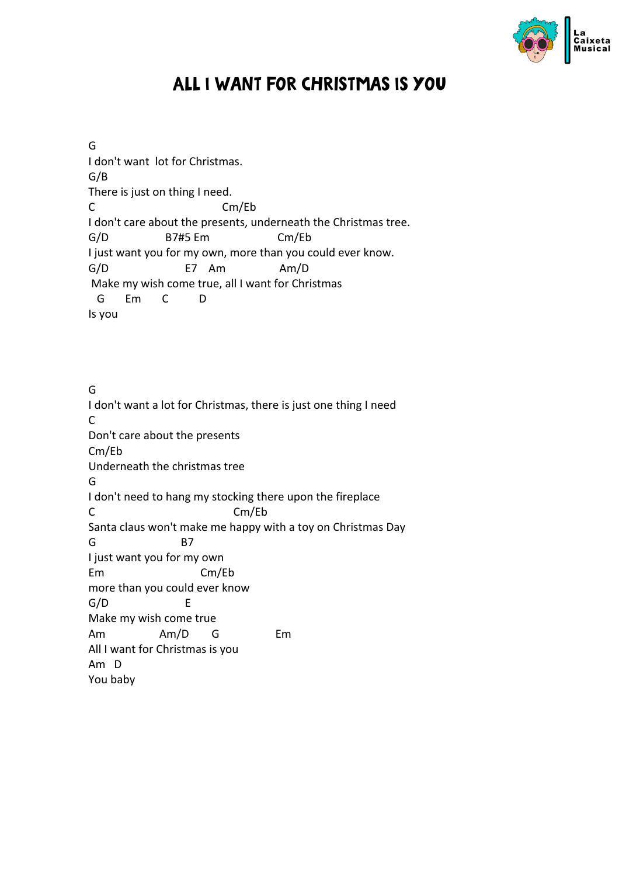

## All I Want For Christmas Is You

G I don't want lot for Christmas. G/B There is just on thing I need. C Cm/Eb I don't care about the presents, underneath the Christmas tree. G/D B7#5 Em Cm/Eb I just want you for my own, more than you could ever know. G/D E7 Am Am/D Make my wish come true, all I want for Christmas G Em C D Is you

G I don't want a lot for Christmas, there is just one thing I need C Don't care about the presents Cm/Eb Underneath the christmas tree G I don't need to hang my stocking there upon the fireplace C Cm/Eb Santa claus won't make me happy with a toy on Christmas Day G B7 I just want you for my own Em Cm/Eb more than you could ever know G/D E Make my wish come true Am Am/D G Em All I want for Christmas is you Am D You baby